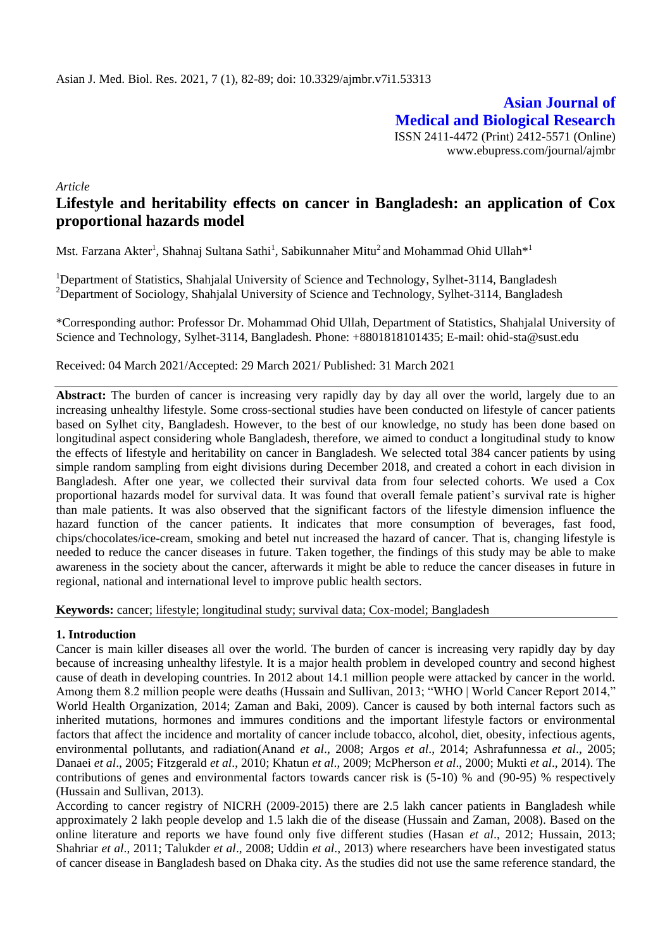**Asian Journal of Medical and Biological Research** ISSN 2411-4472 (Print) 2412-5571 (Online) www.ebupress.com/journal/ajmbr

*Article*

# **Lifestyle and heritability effects on cancer in Bangladesh: an application of Cox proportional hazards model**

Mst. Farzana Akter<sup>1</sup>, Shahnaj Sultana Sathi<sup>1</sup>, Sabikunnaher Mitu<sup>2</sup> and Mohammad Ohid Ullah<sup>\*1</sup>

<sup>1</sup>Department of Statistics, Shahjalal University of Science and Technology, Sylhet-3114, Bangladesh <sup>2</sup>Department of Sociology, Shahjalal University of Science and Technology, Sylhet-3114, Bangladesh

\*Corresponding author: Professor Dr. Mohammad Ohid Ullah, Department of Statistics, Shahjalal University of Science and Technology, Sylhet-3114, Bangladesh. Phone: +8801818101435; E-mail: ohid-sta@sust.edu

Received: 04 March 2021/Accepted: 29 March 2021/ Published: 31 March 2021

Abstract: The burden of cancer is increasing very rapidly day by day all over the world, largely due to an increasing unhealthy lifestyle. Some cross-sectional studies have been conducted on lifestyle of cancer patients based on Sylhet city, Bangladesh. However, to the best of our knowledge, no study has been done based on longitudinal aspect considering whole Bangladesh, therefore, we aimed to conduct a longitudinal study to know the effects of lifestyle and heritability on cancer in Bangladesh. We selected total 384 cancer patients by using simple random sampling from eight divisions during December 2018, and created a cohort in each division in Bangladesh. After one year, we collected their survival data from four selected cohorts. We used a Cox proportional hazards model for survival data. It was found that overall female patient's survival rate is higher than male patients. It was also observed that the significant factors of the lifestyle dimension influence the hazard function of the cancer patients. It indicates that more consumption of beverages, fast food, chips/chocolates/ice-cream, smoking and betel nut increased the hazard of cancer. That is, changing lifestyle is needed to reduce the cancer diseases in future. Taken together, the findings of this study may be able to make awareness in the society about the cancer, afterwards it might be able to reduce the cancer diseases in future in regional, national and international level to improve public health sectors.

**Keywords:** cancer; lifestyle; longitudinal study; survival data; Cox-model; Bangladesh

# **1. Introduction**

Cancer is main killer diseases all over the world. The burden of cancer is increasing very rapidly day by day because of increasing unhealthy lifestyle. It is a major health problem in developed country and second highest cause of death in developing countries. In 2012 about 14.1 million people were attacked by cancer in the world. Among them 8.2 million people were deaths (Hussain and Sullivan, 2013; "WHO | World Cancer Report 2014," World Health Organization, 2014; Zaman and Baki, 2009). Cancer is caused by both internal factors such as inherited mutations, hormones and immures conditions and the important lifestyle factors or environmental factors that affect the incidence and mortality of cancer include tobacco, alcohol, diet, obesity, infectious agents, environmental pollutants, and radiation(Anand *et al*., 2008; Argos *et al*., 2014; Ashrafunnessa *et al*., 2005; Danaei *et al*., 2005; Fitzgerald *et al*., 2010; Khatun *et al*., 2009; McPherson *et al*., 2000; Mukti *et al*., 2014). The contributions of genes and environmental factors towards cancer risk is (5-10) % and (90-95) % respectively (Hussain and Sullivan, 2013).

According to cancer registry of NICRH (2009-2015) there are 2.5 lakh cancer patients in Bangladesh while approximately 2 lakh people develop and 1.5 lakh die of the disease (Hussain and Zaman, 2008). Based on the online literature and reports we have found only five different studies (Hasan *et al*., 2012; Hussain, 2013; Shahriar *et al*., 2011; Talukder *et al*., 2008; Uddin *et al*., 2013) where researchers have been investigated status of cancer disease in Bangladesh based on Dhaka city. As the studies did not use the same reference standard, the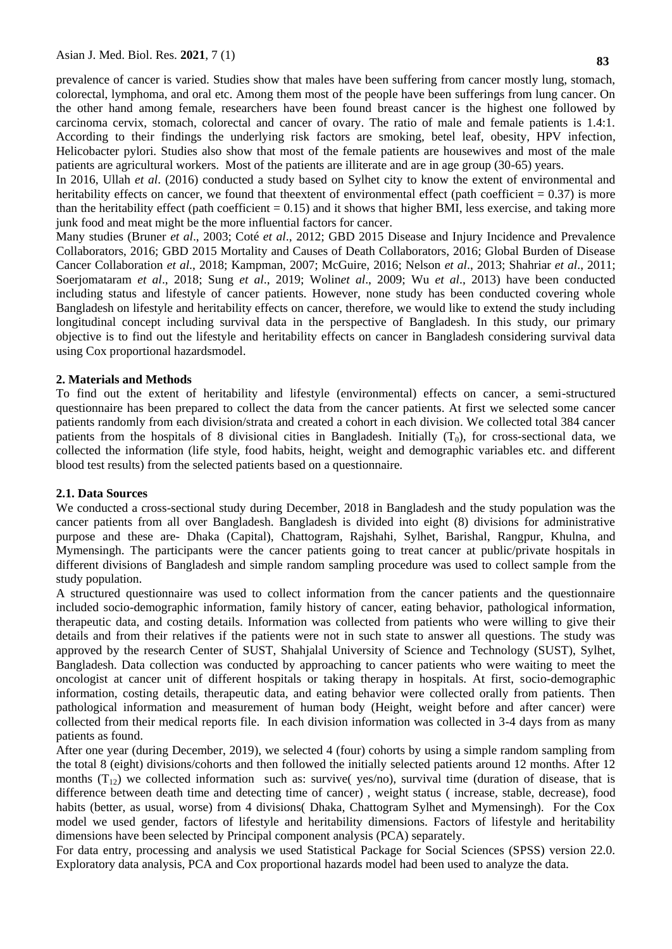prevalence of cancer is varied. Studies show that males have been suffering from cancer mostly lung, stomach, colorectal, lymphoma, and oral etc. Among them most of the people have been sufferings from lung cancer. On the other hand among female, researchers have been found breast cancer is the highest one followed by carcinoma cervix, stomach, colorectal and cancer of ovary. The ratio of male and female patients is 1.4:1. According to their findings the underlying risk factors are smoking, betel leaf, obesity, HPV infection, Helicobacter pylori. Studies also show that most of the female patients are housewives and most of the male patients are agricultural workers. Most of the patients are illiterate and are in age group (30-65) years.

In 2016, Ullah *et al*. (2016) conducted a study based on Sylhet city to know the extent of environmental and heritability effects on cancer, we found that the extent of environmental effect (path coefficient  $= 0.37$ ) is more than the heritability effect (path coefficient  $= 0.15$ ) and it shows that higher BMI, less exercise, and taking more junk food and meat might be the more influential factors for cancer.

Many studies (Bruner *et al*., 2003; Coté *et al*., 2012; GBD 2015 Disease and Injury Incidence and Prevalence Collaborators, 2016; GBD 2015 Mortality and Causes of Death Collaborators, 2016; Global Burden of Disease Cancer Collaboration *et al*., 2018; Kampman, 2007; McGuire, 2016; Nelson *et al*., 2013; Shahriar *et al*., 2011; Soerjomataram *et al*., 2018; Sung *et al*., 2019; Wolin*et al*., 2009; Wu *et al*., 2013) have been conducted including status and lifestyle of cancer patients. However, none study has been conducted covering whole Bangladesh on lifestyle and heritability effects on cancer, therefore, we would like to extend the study including longitudinal concept including survival data in the perspective of Bangladesh. In this study, our primary objective is to find out the lifestyle and heritability effects on cancer in Bangladesh considering survival data using Cox proportional hazardsmodel.

### **2. Materials and Methods**

To find out the extent of heritability and lifestyle (environmental) effects on cancer, a semi-structured questionnaire has been prepared to collect the data from the cancer patients. At first we selected some cancer patients randomly from each division/strata and created a cohort in each division. We collected total 384 cancer patients from the hospitals of 8 divisional cities in Bangladesh. Initially  $(T_0)$ , for cross-sectional data, we collected the information (life style, food habits, height, weight and demographic variables etc. and different blood test results) from the selected patients based on a questionnaire.

### **2.1. Data Sources**

We conducted a cross-sectional study during December, 2018 in Bangladesh and the study population was the cancer patients from all over Bangladesh. Bangladesh is divided into eight (8) divisions for administrative purpose and these are- Dhaka (Capital), Chattogram, Rajshahi, Sylhet, Barishal, Rangpur, Khulna, and Mymensingh. The participants were the cancer patients going to treat cancer at public/private hospitals in different divisions of Bangladesh and simple random sampling procedure was used to collect sample from the study population.

A structured questionnaire was used to collect information from the cancer patients and the questionnaire included socio-demographic information, family history of cancer, eating behavior, pathological information, therapeutic data, and costing details. Information was collected from patients who were willing to give their details and from their relatives if the patients were not in such state to answer all questions. The study was approved by the research Center of SUST, Shahjalal University of Science and Technology (SUST), Sylhet, Bangladesh. Data collection was conducted by approaching to cancer patients who were waiting to meet the oncologist at cancer unit of different hospitals or taking therapy in hospitals. At first, socio-demographic information, costing details, therapeutic data, and eating behavior were collected orally from patients. Then pathological information and measurement of human body (Height, weight before and after cancer) were collected from their medical reports file. In each division information was collected in 3-4 days from as many patients as found.

After one year (during December, 2019), we selected 4 (four) cohorts by using a simple random sampling from the total 8 (eight) divisions/cohorts and then followed the initially selected patients around 12 months. After 12 months  $(T_{12})$  we collected information such as: survive( yes/no), survival time (duration of disease, that is difference between death time and detecting time of cancer) , weight status ( increase, stable, decrease), food habits (better, as usual, worse) from 4 divisions( Dhaka, Chattogram Sylhet and Mymensingh). For the Cox model we used gender, factors of lifestyle and heritability dimensions. Factors of lifestyle and heritability dimensions have been selected by Principal component analysis (PCA) separately.

For data entry, processing and analysis we used Statistical Package for Social Sciences (SPSS) version 22.0. Exploratory data analysis, PCA and Cox proportional hazards model had been used to analyze the data.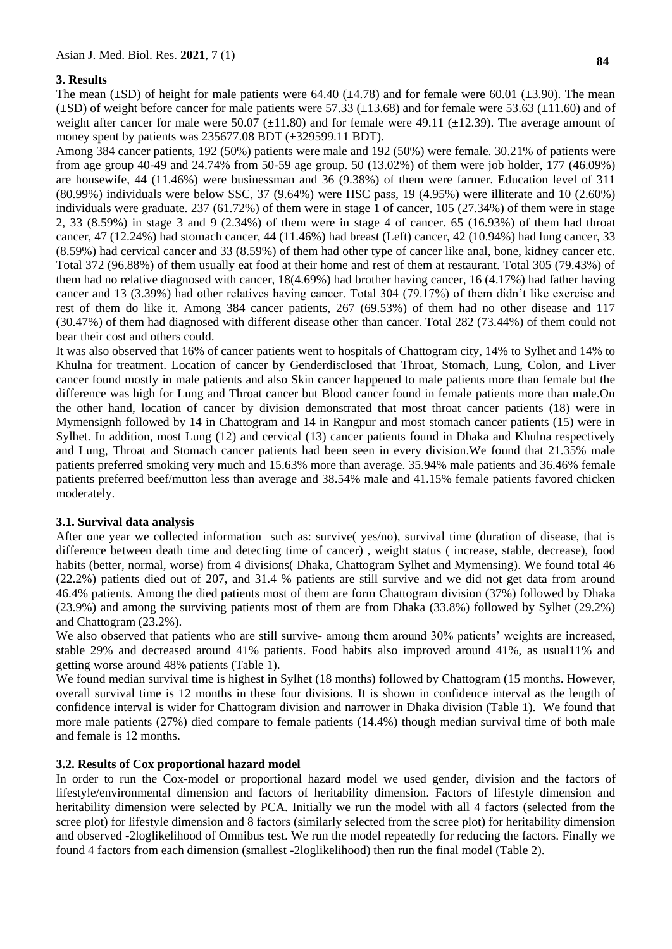## **3. Results**

The mean ( $\pm$ SD) of height for male patients were 64.40 ( $\pm$ 4.78) and for female were 60.01 ( $\pm$ 3.90). The mean  $(\pm SD)$  of weight before cancer for male patients were 57.33 ( $\pm 13.68$ ) and for female were 53.63 ( $\pm 11.60$ ) and of weight after cancer for male were 50.07 ( $\pm$ 11.80) and for female were 49.11 ( $\pm$ 12.39). The average amount of money spent by patients was 235677.08 BDT (±329599.11 BDT).

Among 384 cancer patients, 192 (50%) patients were male and 192 (50%) were female. 30.21% of patients were from age group 40-49 and 24.74% from 50-59 age group. 50 (13.02%) of them were job holder, 177 (46.09%) are housewife, 44 (11.46%) were businessman and 36 (9.38%) of them were farmer. Education level of 311 (80.99%) individuals were below SSC, 37 (9.64%) were HSC pass, 19 (4.95%) were illiterate and 10 (2.60%) individuals were graduate. 237 (61.72%) of them were in stage 1 of cancer, 105 (27.34%) of them were in stage 2, 33 (8.59%) in stage 3 and 9 (2.34%) of them were in stage 4 of cancer. 65 (16.93%) of them had throat cancer, 47 (12.24%) had stomach cancer, 44 (11.46%) had breast (Left) cancer, 42 (10.94%) had lung cancer, 33 (8.59%) had cervical cancer and 33 (8.59%) of them had other type of cancer like anal, bone, kidney cancer etc. Total 372 (96.88%) of them usually eat food at their home and rest of them at restaurant. Total 305 (79.43%) of them had no relative diagnosed with cancer, 18(4.69%) had brother having cancer, 16 (4.17%) had father having cancer and 13 (3.39%) had other relatives having cancer. Total 304 (79.17%) of them didn't like exercise and rest of them do like it. Among 384 cancer patients, 267 (69.53%) of them had no other disease and 117 (30.47%) of them had diagnosed with different disease other than cancer. Total 282 (73.44%) of them could not bear their cost and others could.

It was also observed that 16% of cancer patients went to hospitals of Chattogram city, 14% to Sylhet and 14% to Khulna for treatment. Location of cancer by Genderdisclosed that Throat, Stomach, Lung, Colon, and Liver cancer found mostly in male patients and also Skin cancer happened to male patients more than female but the difference was high for Lung and Throat cancer but Blood cancer found in female patients more than male.On the other hand, location of cancer by division demonstrated that most throat cancer patients (18) were in Mymensignh followed by 14 in Chattogram and 14 in Rangpur and most stomach cancer patients (15) were in Sylhet. In addition, most Lung (12) and cervical (13) cancer patients found in Dhaka and Khulna respectively and Lung, Throat and Stomach cancer patients had been seen in every division.We found that 21.35% male patients preferred smoking very much and 15.63% more than average. 35.94% male patients and 36.46% female patients preferred beef/mutton less than average and 38.54% male and 41.15% female patients favored chicken moderately.

# **3.1. Survival data analysis**

After one year we collected information such as: survive( yes/no), survival time (duration of disease, that is difference between death time and detecting time of cancer) , weight status ( increase, stable, decrease), food habits (better, normal, worse) from 4 divisions( Dhaka, Chattogram Sylhet and Mymensing). We found total 46 (22.2%) patients died out of 207, and 31.4 % patients are still survive and we did not get data from around 46.4% patients. Among the died patients most of them are form Chattogram division (37%) followed by Dhaka (23.9%) and among the surviving patients most of them are from Dhaka (33.8%) followed by Sylhet (29.2%) and Chattogram (23.2%).

We also observed that patients who are still survive- among them around 30% patients' weights are increased, stable 29% and decreased around 41% patients. Food habits also improved around 41%, as usual11% and getting worse around 48% patients (Table 1).

We found median survival time is highest in Sylhet (18 months) followed by Chattogram (15 months. However, overall survival time is 12 months in these four divisions. It is shown in confidence interval as the length of confidence interval is wider for Chattogram division and narrower in Dhaka division (Table 1). We found that more male patients (27%) died compare to female patients (14.4%) though median survival time of both male and female is 12 months.

# **3.2. Results of Cox proportional hazard model**

In order to run the Cox-model or proportional hazard model we used gender, division and the factors of lifestyle/environmental dimension and factors of heritability dimension. Factors of lifestyle dimension and heritability dimension were selected by PCA. Initially we run the model with all 4 factors (selected from the scree plot) for lifestyle dimension and 8 factors (similarly selected from the scree plot) for heritability dimension and observed -2loglikelihood of Omnibus test. We run the model repeatedly for reducing the factors. Finally we found 4 factors from each dimension (smallest -2loglikelihood) then run the final model (Table 2).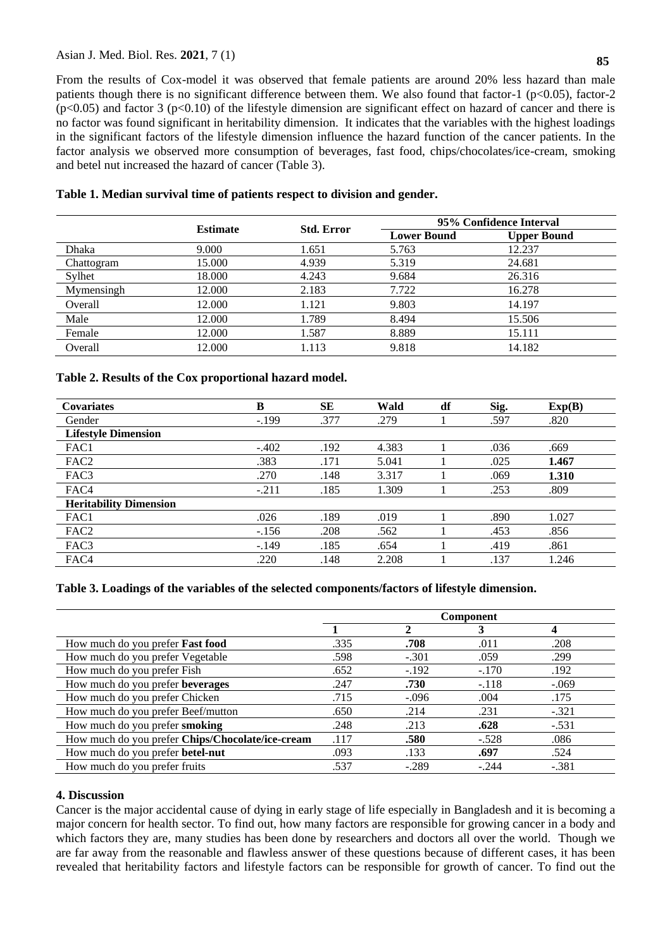# Asian J. Med. Biol. Res. **2021**, 7 (1) **<sup>85</sup>**

From the results of Cox-model it was observed that female patients are around 20% less hazard than male patients though there is no significant difference between them. We also found that factor-1 ( $p<0.05$ ), factor-2  $(p<0.05)$  and factor 3 ( $p<0.10$ ) of the lifestyle dimension are significant effect on hazard of cancer and there is no factor was found significant in heritability dimension. It indicates that the variables with the highest loadings in the significant factors of the lifestyle dimension influence the hazard function of the cancer patients. In the factor analysis we observed more consumption of beverages, fast food, chips/chocolates/ice-cream, smoking and betel nut increased the hazard of cancer (Table 3).

|            | <b>Estimate</b> | <b>Std. Error</b> | 95% Confidence Interval |                    |  |
|------------|-----------------|-------------------|-------------------------|--------------------|--|
|            |                 |                   | <b>Lower Bound</b>      | <b>Upper Bound</b> |  |
| Dhaka      | 9.000           | 1.651             | 5.763                   | 12.237             |  |
| Chattogram | 15.000          | 4.939             | 5.319                   | 24.681             |  |
| Sylhet     | 18.000          | 4.243             | 9.684                   | 26.316             |  |
| Mymensingh | 12.000          | 2.183             | 7.722                   | 16.278             |  |
| Overall    | 12.000          | 1.121             | 9.803                   | 14.197             |  |
| Male       | 12.000          | 1.789             | 8.494                   | 15.506             |  |
| Female     | 12.000          | 1.587             | 8.889                   | 15.111             |  |
| Overall    | 12.000          | 1.113             | 9.818                   | 14.182             |  |

**Table 1. Median survival time of patients respect to division and gender.**

## **Table 2. Results of the Cox proportional hazard model.**

| <b>Covariates</b>             | B       | <b>SE</b> | Wald  | df | Sig. | Exp(B) |
|-------------------------------|---------|-----------|-------|----|------|--------|
| Gender                        | $-.199$ | .377      | .279  |    | .597 | .820   |
| <b>Lifestyle Dimension</b>    |         |           |       |    |      |        |
| FAC1                          | $-.402$ | .192      | 4.383 |    | .036 | .669   |
| FAC <sub>2</sub>              | .383    | .171      | 5.041 |    | .025 | 1.467  |
| FAC3                          | .270    | .148      | 3.317 |    | .069 | 1.310  |
| FAC4                          | $-.211$ | .185      | 1.309 |    | .253 | .809   |
| <b>Heritability Dimension</b> |         |           |       |    |      |        |
| FAC1                          | .026    | .189      | .019  |    | .890 | 1.027  |
| FAC <sub>2</sub>              | $-156$  | .208      | .562  |    | .453 | .856   |
| FAC3                          | $-.149$ | .185      | .654  |    | .419 | .861   |
| FAC4                          | .220    | .148      | 2.208 |    | .137 | 1.246  |

# **Table 3. Loadings of the variables of the selected components/factors of lifestyle dimension.**

|                                                  | <b>Component</b> |         |         |         |  |
|--------------------------------------------------|------------------|---------|---------|---------|--|
|                                                  |                  |         | 3       |         |  |
| How much do you prefer Fast food                 | .335             | .708    | .011    | .208    |  |
| How much do you prefer Vegetable                 | .598             | $-.301$ | .059    | .299    |  |
| How much do you prefer Fish                      | .652             | $-.192$ | $-.170$ | .192    |  |
| How much do you prefer beverages                 | .247             | .730    | $-.118$ | $-.069$ |  |
| How much do you prefer Chicken                   | .715             | $-.096$ | .004    | .175    |  |
| How much do you prefer Beef/mutton               | .650             | .214    | .231    | $-.321$ |  |
| How much do you prefer smoking                   | .248             | .213    | .628    | $-.531$ |  |
| How much do you prefer Chips/Chocolate/ice-cream | .117             | .580    | $-.528$ | .086    |  |
| How much do you prefer betel-nut                 | .093             | .133    | .697    | .524    |  |
| How much do you prefer fruits                    | .537             | $-.289$ | $-.244$ | $-.381$ |  |

## **4. Discussion**

Cancer is the major accidental cause of dying in early stage of life especially in Bangladesh and it is becoming a major concern for health sector. To find out, how many factors are responsible for growing cancer in a body and which factors they are, many studies has been done by researchers and doctors all over the world. Though we are far away from the reasonable and flawless answer of these questions because of different cases, it has been revealed that heritability factors and lifestyle factors can be responsible for growth of cancer. To find out the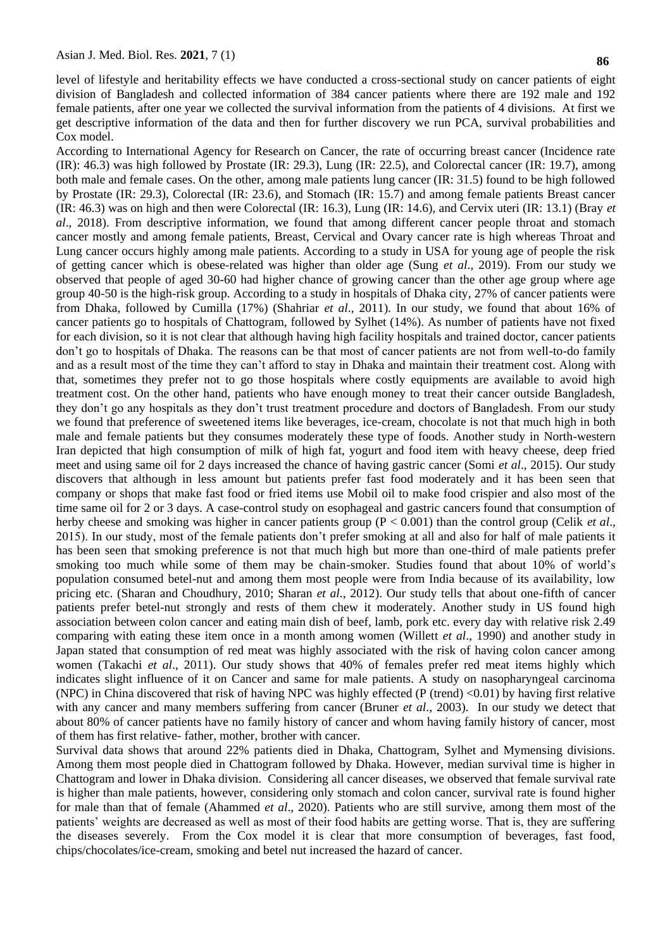level of lifestyle and heritability effects we have conducted a cross-sectional study on cancer patients of eight division of Bangladesh and collected information of 384 cancer patients where there are 192 male and 192 female patients, after one year we collected the survival information from the patients of 4 divisions. At first we get descriptive information of the data and then for further discovery we run PCA, survival probabilities and Cox model.

According to International Agency for Research on Cancer, the rate of occurring breast cancer (Incidence rate (IR): 46.3) was high followed by Prostate (IR: 29.3), Lung (IR: 22.5), and Colorectal cancer (IR: 19.7), among both male and female cases. On the other, among male patients lung cancer (IR: 31.5) found to be high followed by Prostate (IR: 29.3), Colorectal (IR: 23.6), and Stomach (IR: 15.7) and among female patients Breast cancer (IR: 46.3) was on high and then were Colorectal (IR: 16.3), Lung (IR: 14.6), and Cervix uteri (IR: 13.1) (Bray *et al*., 2018). From descriptive information, we found that among different cancer people throat and stomach cancer mostly and among female patients, Breast, Cervical and Ovary cancer rate is high whereas Throat and Lung cancer occurs highly among male patients. According to a study in USA for young age of people the risk of getting cancer which is obese-related was higher than older age (Sung *et al*., 2019). From our study we observed that people of aged 30-60 had higher chance of growing cancer than the other age group where age group 40-50 is the high-risk group. According to a study in hospitals of Dhaka city, 27% of cancer patients were from Dhaka, followed by Cumilla (17%) (Shahriar *et al*., 2011). In our study, we found that about 16% of cancer patients go to hospitals of Chattogram, followed by Sylhet (14%). As number of patients have not fixed for each division, so it is not clear that although having high facility hospitals and trained doctor, cancer patients don't go to hospitals of Dhaka. The reasons can be that most of cancer patients are not from well-to-do family and as a result most of the time they can't afford to stay in Dhaka and maintain their treatment cost. Along with that, sometimes they prefer not to go those hospitals where costly equipments are available to avoid high treatment cost. On the other hand, patients who have enough money to treat their cancer outside Bangladesh, they don't go any hospitals as they don't trust treatment procedure and doctors of Bangladesh. From our study we found that preference of sweetened items like beverages, ice-cream, chocolate is not that much high in both male and female patients but they consumes moderately these type of foods. Another study in North-western Iran depicted that high consumption of milk of high fat, yogurt and food item with heavy cheese, deep fried meet and using same oil for 2 days increased the chance of having gastric cancer (Somi *et al*., 2015). Our study discovers that although in less amount but patients prefer fast food moderately and it has been seen that company or shops that make fast food or fried items use Mobil oil to make food crispier and also most of the time same oil for 2 or 3 days. A case-control study on esophageal and gastric cancers found that consumption of herby cheese and smoking was higher in cancer patients group (P < 0.001) than the control group (Celik *et al*., 2015). In our study, most of the female patients don't prefer smoking at all and also for half of male patients it has been seen that smoking preference is not that much high but more than one-third of male patients prefer smoking too much while some of them may be chain-smoker. Studies found that about 10% of world's population consumed betel-nut and among them most people were from India because of its availability, low pricing etc. (Sharan and Choudhury, 2010; Sharan *et al*., 2012). Our study tells that about one-fifth of cancer patients prefer betel-nut strongly and rests of them chew it moderately. Another study in US found high association between colon cancer and eating main dish of beef, lamb, pork etc. every day with relative risk 2.49 comparing with eating these item once in a month among women (Willett *et al*., 1990) and another study in Japan stated that consumption of red meat was highly associated with the risk of having colon cancer among women (Takachi *et al*., 2011). Our study shows that 40% of females prefer red meat items highly which indicates slight influence of it on Cancer and same for male patients. A study on nasopharyngeal carcinoma (NPC) in China discovered that risk of having NPC was highly effected (P (trend)  $< 0.01$ ) by having first relative with any cancer and many members suffering from cancer (Bruner *et al*., 2003). In our study we detect that about 80% of cancer patients have no family history of cancer and whom having family history of cancer, most of them has first relative- father, mother, brother with cancer.

Survival data shows that around 22% patients died in Dhaka, Chattogram, Sylhet and Mymensing divisions. Among them most people died in Chattogram followed by Dhaka. However, median survival time is higher in Chattogram and lower in Dhaka division. Considering all cancer diseases, we observed that female survival rate is higher than male patients, however, considering only stomach and colon cancer, survival rate is found higher for male than that of female (Ahammed *et al*., 2020). Patients who are still survive, among them most of the patients' weights are decreased as well as most of their food habits are getting worse. That is, they are suffering the diseases severely. From the Cox model it is clear that more consumption of beverages, fast food, chips/chocolates/ice-cream, smoking and betel nut increased the hazard of cancer.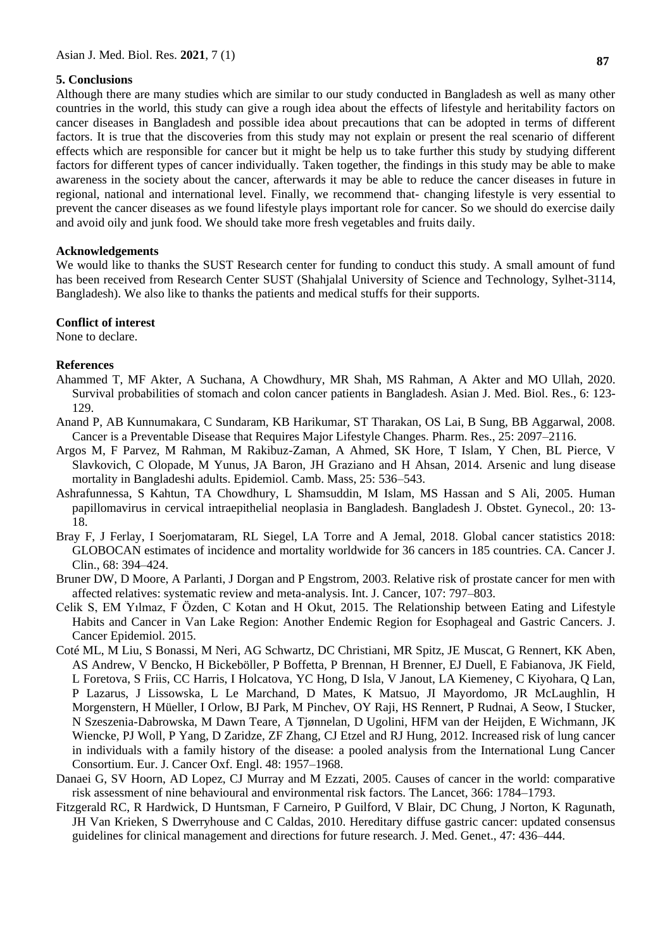## **5. Conclusions**

Although there are many studies which are similar to our study conducted in Bangladesh as well as many other countries in the world, this study can give a rough idea about the effects of lifestyle and heritability factors on cancer diseases in Bangladesh and possible idea about precautions that can be adopted in terms of different factors. It is true that the discoveries from this study may not explain or present the real scenario of different effects which are responsible for cancer but it might be help us to take further this study by studying different factors for different types of cancer individually. Taken together, the findings in this study may be able to make awareness in the society about the cancer, afterwards it may be able to reduce the cancer diseases in future in regional, national and international level. Finally, we recommend that- changing lifestyle is very essential to prevent the cancer diseases as we found lifestyle plays important role for cancer. So we should do exercise daily and avoid oily and junk food. We should take more fresh vegetables and fruits daily.

#### **Acknowledgements**

We would like to thanks the SUST Research center for funding to conduct this study. A small amount of fund has been received from Research Center SUST (Shahjalal University of Science and Technology, Sylhet-3114, Bangladesh). We also like to thanks the patients and medical stuffs for their supports.

#### **Conflict of interest**

None to declare.

## **References**

- Ahammed T, MF Akter, A Suchana, A Chowdhury, MR Shah, MS Rahman, A Akter and MO Ullah, 2020. Survival probabilities of stomach and colon cancer patients in Bangladesh. Asian J. Med. Biol. Res., 6: 123- 129.
- Anand P, AB Kunnumakara, C Sundaram, KB Harikumar, ST Tharakan, OS Lai, B Sung, BB Aggarwal, 2008. Cancer is a Preventable Disease that Requires Major Lifestyle Changes. Pharm. Res., 25: 2097–2116.
- Argos M, F Parvez, M Rahman, M Rakibuz-Zaman, A Ahmed, SK Hore, T Islam, Y Chen, BL Pierce, V Slavkovich, C Olopade, M Yunus, JA Baron, JH Graziano and H Ahsan, 2014. Arsenic and lung disease mortality in Bangladeshi adults. Epidemiol. Camb. Mass, 25: 536–543.
- Ashrafunnessa, S Kahtun, TA Chowdhury, L Shamsuddin, M Islam, MS Hassan and S Ali, 2005. Human papillomavirus in cervical intraepithelial neoplasia in Bangladesh. Bangladesh J. Obstet. Gynecol., 20: 13- 18.
- Bray F, J Ferlay, I Soerjomataram, RL Siegel, LA Torre and A Jemal, 2018. Global cancer statistics 2018: GLOBOCAN estimates of incidence and mortality worldwide for 36 cancers in 185 countries. CA. Cancer J. Clin., 68: 394–424.
- Bruner DW, D Moore, A Parlanti, J Dorgan and P Engstrom, 2003. Relative risk of prostate cancer for men with affected relatives: systematic review and meta-analysis. Int. J. Cancer, 107: 797–803.
- Celik S, EM Yılmaz, F Özden, C Kotan and H Okut, 2015. The Relationship between Eating and Lifestyle Habits and Cancer in Van Lake Region: Another Endemic Region for Esophageal and Gastric Cancers. J. Cancer Epidemiol. 2015.
- Coté ML, M Liu, S Bonassi, M Neri, AG Schwartz, DC Christiani, MR Spitz, JE Muscat, G Rennert, KK Aben, AS Andrew, V Bencko, H Bickeböller, P Boffetta, P Brennan, H Brenner, EJ Duell, E Fabianova, JK Field, L Foretova, S Friis, CC Harris, I Holcatova, YC Hong, D Isla, V Janout, LA Kiemeney, C Kiyohara, Q Lan, P Lazarus, J Lissowska, L Le Marchand, D Mates, K Matsuo, JI Mayordomo, JR McLaughlin, H Morgenstern, H Müeller, I Orlow, BJ Park, M Pinchev, OY Raji, HS Rennert, P Rudnai, A Seow, I Stucker, N Szeszenia-Dabrowska, M Dawn Teare, A Tjønnelan, D Ugolini, HFM van der Heijden, E Wichmann, JK Wiencke, PJ Woll, P Yang, D Zaridze, ZF Zhang, CJ Etzel and RJ Hung, 2012. Increased risk of lung cancer in individuals with a family history of the disease: a pooled analysis from the International Lung Cancer Consortium. Eur. J. Cancer Oxf. Engl. 48: 1957–1968.
- Danaei G, SV Hoorn, AD Lopez, CJ Murray and M Ezzati, 2005. Causes of cancer in the world: comparative risk assessment of nine behavioural and environmental risk factors. The Lancet, 366: 1784–1793.
- Fitzgerald RC, R Hardwick, D Huntsman, F Carneiro, P Guilford, V Blair, DC Chung, J Norton, K Ragunath, JH Van Krieken, S Dwerryhouse and C Caldas, 2010. Hereditary diffuse gastric cancer: updated consensus guidelines for clinical management and directions for future research. J. Med. Genet., 47: 436–444.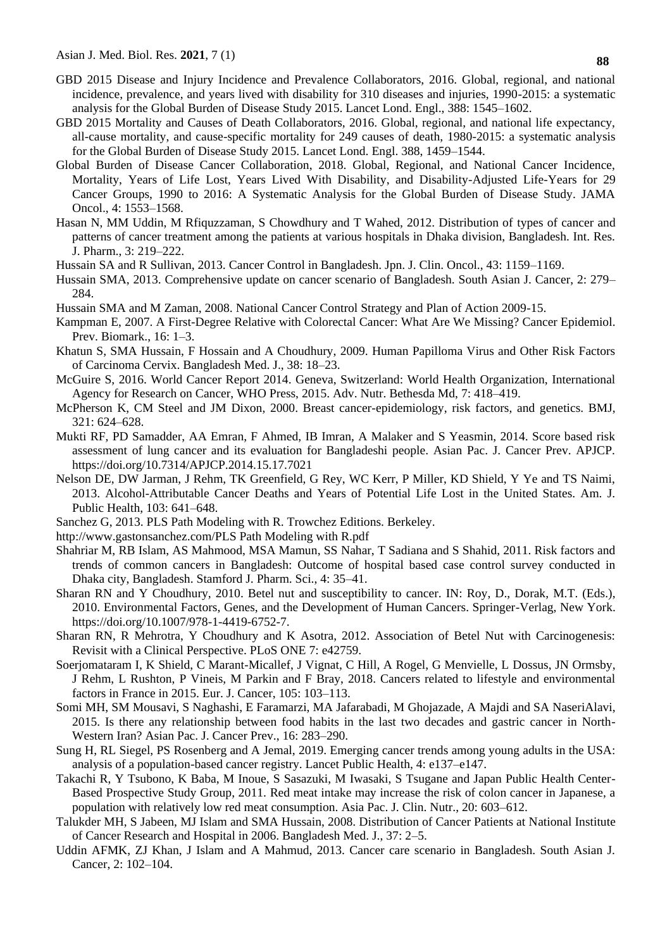- GBD 2015 Disease and Injury Incidence and Prevalence Collaborators, 2016. Global, regional, and national incidence, prevalence, and years lived with disability for 310 diseases and injuries, 1990-2015: a systematic analysis for the Global Burden of Disease Study 2015. Lancet Lond. Engl., 388: 1545–1602.
- GBD 2015 Mortality and Causes of Death Collaborators, 2016. Global, regional, and national life expectancy, all-cause mortality, and cause-specific mortality for 249 causes of death, 1980-2015: a systematic analysis for the Global Burden of Disease Study 2015. Lancet Lond. Engl. 388, 1459–1544.
- Global Burden of Disease Cancer Collaboration, 2018. Global, Regional, and National Cancer Incidence, Mortality, Years of Life Lost, Years Lived With Disability, and Disability-Adjusted Life-Years for 29 Cancer Groups, 1990 to 2016: A Systematic Analysis for the Global Burden of Disease Study. JAMA Oncol., 4: 1553–1568.
- Hasan N, MM Uddin, M Rfiquzzaman, S Chowdhury and T Wahed, 2012. Distribution of types of cancer and patterns of cancer treatment among the patients at various hospitals in Dhaka division, Bangladesh. Int. Res. J. Pharm., 3: 219–222.
- Hussain SA and R Sullivan, 2013. Cancer Control in Bangladesh. Jpn. J. Clin. Oncol., 43: 1159–1169.
- Hussain SMA, 2013. Comprehensive update on cancer scenario of Bangladesh. South Asian J. Cancer, 2: 279– 284.
- Hussain SMA and M Zaman, 2008. National Cancer Control Strategy and Plan of Action 2009-15.
- Kampman E, 2007. A First-Degree Relative with Colorectal Cancer: What Are We Missing? Cancer Epidemiol. Prev. Biomark., 16: 1–3.
- Khatun S, SMA Hussain, F Hossain and A Choudhury, 2009. Human Papilloma Virus and Other Risk Factors of Carcinoma Cervix. Bangladesh Med. J., 38: 18–23.
- McGuire S, 2016. World Cancer Report 2014. Geneva, Switzerland: World Health Organization, International Agency for Research on Cancer, WHO Press, 2015. Adv. Nutr. Bethesda Md, 7: 418–419.
- McPherson K, CM Steel and JM Dixon, 2000. Breast cancer-epidemiology, risk factors, and genetics. BMJ, 321: 624–628.
- Mukti RF, PD Samadder, AA Emran, F Ahmed, IB Imran, A Malaker and S Yeasmin, 2014. Score based risk assessment of lung cancer and its evaluation for Bangladeshi people. Asian Pac. J. Cancer Prev. APJCP. https://doi.org/10.7314/APJCP.2014.15.17.7021
- Nelson DE, DW Jarman, J Rehm, TK Greenfield, G Rey, WC Kerr, P Miller, KD Shield, Y Ye and TS Naimi, 2013. Alcohol-Attributable Cancer Deaths and Years of Potential Life Lost in the United States. Am. J. Public Health, 103: 641–648.
- Sanchez G, 2013. PLS Path Modeling with R. Trowchez Editions. Berkeley.
- [http://www.gastonsanchez.com/PLS Path Modeling with R.pdf](http://www.gastonsanchez.com/PLS%20Path%20Modeling%20with%20R.pdf)
- Shahriar M, RB Islam, AS Mahmood, MSA Mamun, SS Nahar, T Sadiana and S Shahid, 2011. Risk factors and trends of common cancers in Bangladesh: Outcome of hospital based case control survey conducted in Dhaka city, Bangladesh. Stamford J. Pharm. Sci., 4: 35–41.
- Sharan RN and Y Choudhury, 2010. Betel nut and susceptibility to cancer. IN: Roy, D., Dorak, M.T. (Eds.), 2010. Environmental Factors, Genes, and the Development of Human Cancers. Springer-Verlag, New York. [https://doi.org/10.1007/978-1-4419-6752-7.](https://doi.org/10.1007/978-1-4419-6752-7)
- Sharan RN, R Mehrotra, Y Choudhury and K Asotra, 2012. Association of Betel Nut with Carcinogenesis: Revisit with a Clinical Perspective. PLoS ONE 7: e42759.
- Soerjomataram I, K Shield, C Marant-Micallef, J Vignat, C Hill, A Rogel, G Menvielle, L Dossus, JN Ormsby, J Rehm, L Rushton, P Vineis, M Parkin and F Bray, 2018. Cancers related to lifestyle and environmental factors in France in 2015. Eur. J. Cancer, 105: 103–113.
- Somi MH, SM Mousavi, S Naghashi, E Faramarzi, MA Jafarabadi, M Ghojazade, A Majdi and SA NaseriAlavi, 2015. Is there any relationship between food habits in the last two decades and gastric cancer in North-Western Iran? Asian Pac. J. Cancer Prev., 16: 283–290.
- Sung H, RL Siegel, PS Rosenberg and A Jemal, 2019. Emerging cancer trends among young adults in the USA: analysis of a population-based cancer registry. Lancet Public Health, 4: e137–e147.
- Takachi R, Y Tsubono, K Baba, M Inoue, S Sasazuki, M Iwasaki, S Tsugane and Japan Public Health Center-Based Prospective Study Group, 2011. Red meat intake may increase the risk of colon cancer in Japanese, a population with relatively low red meat consumption. Asia Pac. J. Clin. Nutr., 20: 603–612.
- Talukder MH, S Jabeen, MJ Islam and SMA Hussain, 2008. Distribution of Cancer Patients at National Institute of Cancer Research and Hospital in 2006. Bangladesh Med. J., 37: 2–5.
- Uddin AFMK, ZJ Khan, J Islam and A Mahmud, 2013. Cancer care scenario in Bangladesh. South Asian J. Cancer, 2: 102–104.